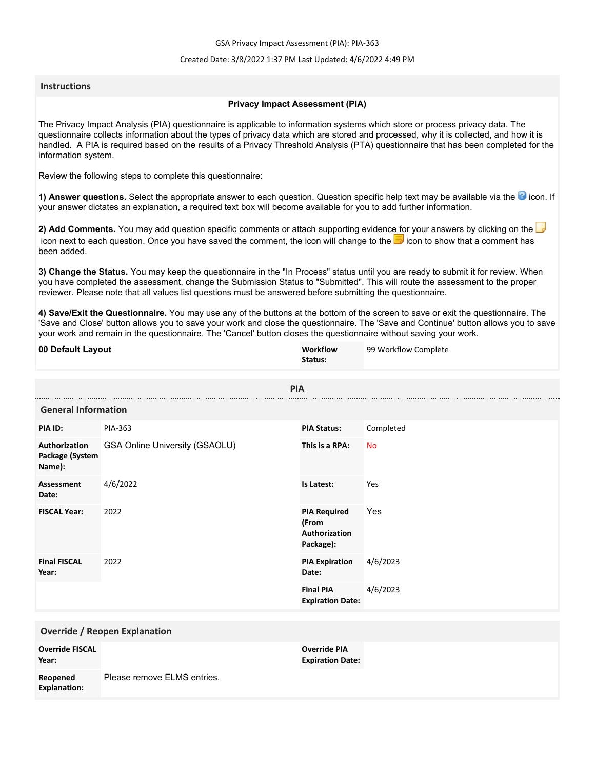GSA Privacy Impact Assessment (PIA): PIA-363

## Created Date: 3/8/2022 1:37 PM Last Updated: 4/6/2022 4:49 PM

## **Instructions**

## **Privacy Impact Assessment (PIA)**

The Privacy Impact Analysis (PIA) questionnaire is applicable to information systems which store or process privacy data. The questionnaire collects information about the types of privacy data which are stored and processed, why it is collected, and how it is handled. A PIA is required based on the results of a Privacy Threshold Analysis (PTA) questionnaire that has been completed for the information system.

Review the following steps to complete this questionnaire:

1) Answer questions. Select the appropriate answer to each question. Question specific help text may be available via the <sup>3</sup> icon. If your answer dictates an explanation, a required text box will become available for you to add further information.

**2) Add Comments.** You may add question specific comments or attach supporting evidence for your answers by clicking on the icon next to each question. Once you have saved the comment, the icon will change to the **i** icon to show that a comment has been added.

**3) Change the Status.** You may keep the questionnaire in the "In Process" status until you are ready to submit it for review. When you have completed the assessment, change the Submission Status to "Submitted". This will route the assessment to the proper reviewer. Please note that all values list questions must be answered before submitting the questionnaire.

**4) Save/Exit the Questionnaire.** You may use any of the buttons at the bottom of the screen to save or exit the questionnaire. The 'Save and Close' button allows you to save your work and close the questionnaire. The 'Save and Continue' button allows you to save your work and remain in the questionnaire. The 'Cancel' button closes the questionnaire without saving your work.

| 00 Default Layout                          |                                       | Workflow<br>Status:                                        | 99 Workflow Complete |  |
|--------------------------------------------|---------------------------------------|------------------------------------------------------------|----------------------|--|
| <b>PIA</b>                                 |                                       |                                                            |                      |  |
| <b>General Information</b>                 |                                       |                                                            |                      |  |
| PIA ID:                                    | PIA-363                               | <b>PIA Status:</b>                                         | Completed            |  |
| Authorization<br>Package (System<br>Name): | <b>GSA Online University (GSAOLU)</b> | This is a RPA:                                             | <b>No</b>            |  |
| <b>Assessment</b><br>Date:                 | 4/6/2022                              | Is Latest:                                                 | Yes                  |  |
| <b>FISCAL Year:</b>                        | 2022                                  | <b>PIA Required</b><br>(From<br>Authorization<br>Package): | Yes                  |  |
| <b>Final FISCAL</b><br>Year:               | 2022                                  | <b>PIA Expiration</b><br>Date:                             | 4/6/2023             |  |
|                                            |                                       | <b>Final PIA</b><br><b>Expiration Date:</b>                | 4/6/2023             |  |
| <b>Override / Reopen Explanation</b>       |                                       |                                                            |                      |  |
| <b>Override FISCAL</b><br>Year:            |                                       | <b>Override PIA</b><br><b>Expiration Date:</b>             |                      |  |
| Reopened<br><b>Explanation:</b>            | Please remove ELMS entries.           |                                                            |                      |  |
|                                            |                                       |                                                            |                      |  |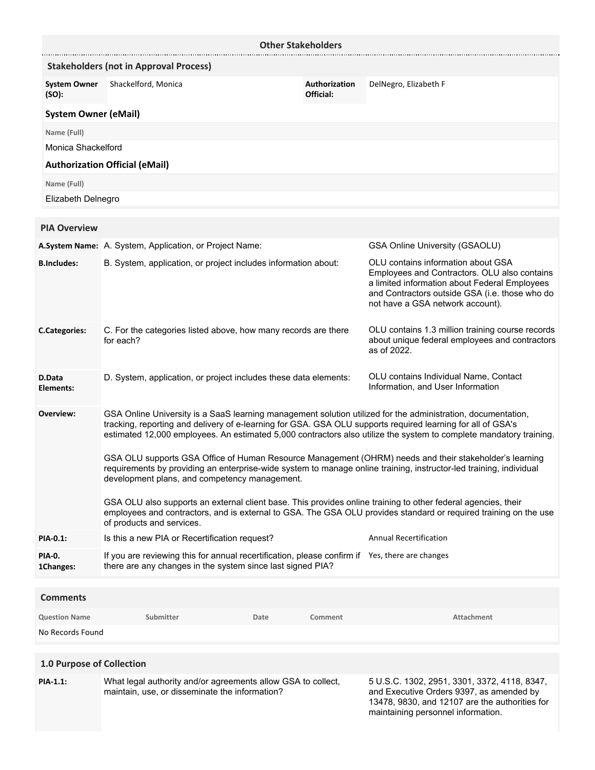| <b>Other Stakeholders</b>    |                                                                                                                                                                                                                                                                                                                                                                                                                                                             |      |                                                                                                                                                                                                                           |                                                                                                                                            |
|------------------------------|-------------------------------------------------------------------------------------------------------------------------------------------------------------------------------------------------------------------------------------------------------------------------------------------------------------------------------------------------------------------------------------------------------------------------------------------------------------|------|---------------------------------------------------------------------------------------------------------------------------------------------------------------------------------------------------------------------------|--------------------------------------------------------------------------------------------------------------------------------------------|
|                              | <b>Stakeholders (not in Approval Process)</b>                                                                                                                                                                                                                                                                                                                                                                                                               |      |                                                                                                                                                                                                                           |                                                                                                                                            |
| <b>System Owner</b><br>(SO): | Shackelford, Monica                                                                                                                                                                                                                                                                                                                                                                                                                                         |      | Authorization<br>Official:                                                                                                                                                                                                | DelNegro, Elizabeth F                                                                                                                      |
| <b>System Owner (eMail)</b>  |                                                                                                                                                                                                                                                                                                                                                                                                                                                             |      |                                                                                                                                                                                                                           |                                                                                                                                            |
| Name (Full)                  |                                                                                                                                                                                                                                                                                                                                                                                                                                                             |      |                                                                                                                                                                                                                           |                                                                                                                                            |
| Monica Shackelford           |                                                                                                                                                                                                                                                                                                                                                                                                                                                             |      |                                                                                                                                                                                                                           |                                                                                                                                            |
|                              | <b>Authorization Official (eMail)</b>                                                                                                                                                                                                                                                                                                                                                                                                                       |      |                                                                                                                                                                                                                           |                                                                                                                                            |
| Name (Full)                  |                                                                                                                                                                                                                                                                                                                                                                                                                                                             |      |                                                                                                                                                                                                                           |                                                                                                                                            |
| Elizabeth Delnegro           |                                                                                                                                                                                                                                                                                                                                                                                                                                                             |      |                                                                                                                                                                                                                           |                                                                                                                                            |
|                              |                                                                                                                                                                                                                                                                                                                                                                                                                                                             |      |                                                                                                                                                                                                                           |                                                                                                                                            |
| <b>PIA Overview</b>          |                                                                                                                                                                                                                                                                                                                                                                                                                                                             |      |                                                                                                                                                                                                                           |                                                                                                                                            |
|                              | A.System Name: A. System, Application, or Project Name:                                                                                                                                                                                                                                                                                                                                                                                                     |      |                                                                                                                                                                                                                           | <b>GSA Online University (GSAOLU)</b>                                                                                                      |
| <b>B.Includes:</b>           | B. System, application, or project includes information about:                                                                                                                                                                                                                                                                                                                                                                                              |      | OLU contains information about GSA<br>Employees and Contractors. OLU also contains<br>a limited information about Federal Employees<br>and Contractors outside GSA (i.e. those who do<br>not have a GSA network account). |                                                                                                                                            |
| <b>C.Categories:</b>         | C. For the categories listed above, how many records are there<br>for each?                                                                                                                                                                                                                                                                                                                                                                                 |      |                                                                                                                                                                                                                           | OLU contains 1.3 million training course records<br>about unique federal employees and contractors<br>as of 2022.                          |
| D.Data<br>Elements:          | D. System, application, or project includes these data elements:                                                                                                                                                                                                                                                                                                                                                                                            |      |                                                                                                                                                                                                                           | OLU contains Individual Name, Contact<br>Information, and User Information                                                                 |
| Overview:                    | GSA Online University is a SaaS learning management solution utilized for the administration, documentation,<br>tracking, reporting and delivery of e-learning for GSA. GSA OLU supports required learning for all of GSA's<br>estimated 12,000 employees. An estimated 5,000 contractors also utilize the system to complete mandatory training.<br>GSA OLU supports GSA Office of Human Resource Management (OHRM) needs and their stakeholder's learning |      |                                                                                                                                                                                                                           |                                                                                                                                            |
|                              | requirements by providing an enterprise-wide system to manage online training, instructor-led training, individual<br>development plans, and competency management.                                                                                                                                                                                                                                                                                         |      |                                                                                                                                                                                                                           |                                                                                                                                            |
|                              | GSA OLU also supports an external client base. This provides online training to other federal agencies, their<br>employees and contractors, and is external to GSA. The GSA OLU provides standard or required training on the use<br>of products and services.                                                                                                                                                                                              |      |                                                                                                                                                                                                                           |                                                                                                                                            |
| PIA-0.1:                     | Is this a new PIA or Recertification request?                                                                                                                                                                                                                                                                                                                                                                                                               |      |                                                                                                                                                                                                                           | <b>Annual Recertification</b>                                                                                                              |
| PIA-0.<br>1Changes:          | If you are reviewing this for annual recertification, please confirm if Yes, there are changes<br>there are any changes in the system since last signed PIA?                                                                                                                                                                                                                                                                                                |      |                                                                                                                                                                                                                           |                                                                                                                                            |
|                              |                                                                                                                                                                                                                                                                                                                                                                                                                                                             |      |                                                                                                                                                                                                                           |                                                                                                                                            |
| <b>Comments</b>              |                                                                                                                                                                                                                                                                                                                                                                                                                                                             |      |                                                                                                                                                                                                                           |                                                                                                                                            |
| <b>Question Name</b>         | Submitter                                                                                                                                                                                                                                                                                                                                                                                                                                                   | Date | Comment                                                                                                                                                                                                                   | <b>Attachment</b>                                                                                                                          |
| No Records Found             |                                                                                                                                                                                                                                                                                                                                                                                                                                                             |      |                                                                                                                                                                                                                           |                                                                                                                                            |
| 1.0 Purpose of Collection    |                                                                                                                                                                                                                                                                                                                                                                                                                                                             |      |                                                                                                                                                                                                                           |                                                                                                                                            |
| PIA-1.1:                     | What legal authority and/or agreements allow GSA to collect,<br>maintain, use, or disseminate the information?                                                                                                                                                                                                                                                                                                                                              |      |                                                                                                                                                                                                                           | 5 U.S.C. 1302, 2951, 3301, 3372, 4118, 8347,<br>and Executive Orders 9397, as amended by<br>13478, 9830, and 12107 are the authorities for |

maintaining personnel information.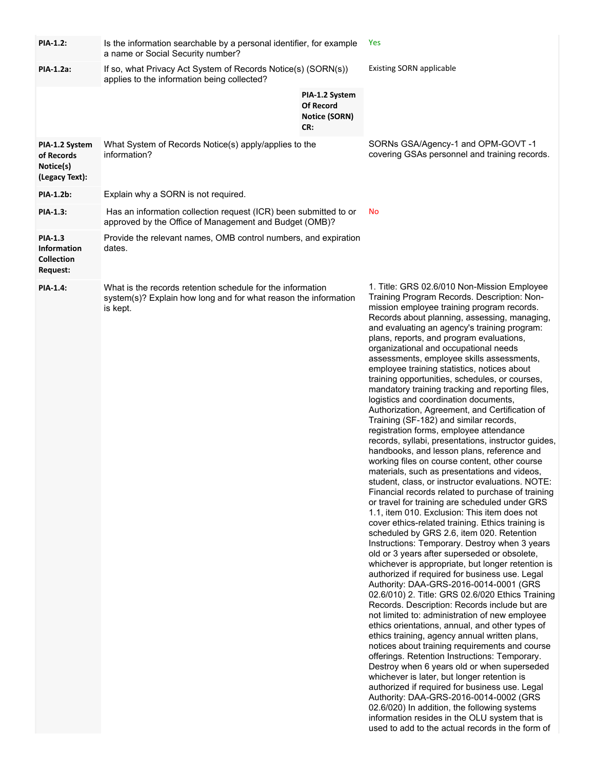| <b>PIA-1.2:</b>                                                              | Is the information searchable by a personal identifier, for example<br>a name or Social Security number?                                  |                                                                   | Yes                                                                                                                                                                                                                                                                                                                                                                                                                                                                                                                                                                                                                                                                                                                                                                                                                                                                                                                                                                                                                                                                                                                                                                                                                                                                                                                                                                                                                                                                                                                                                                                                                                                                                                                                                                                                                                                                                                                                                                                                                                                                                                                                                                                               |
|------------------------------------------------------------------------------|-------------------------------------------------------------------------------------------------------------------------------------------|-------------------------------------------------------------------|---------------------------------------------------------------------------------------------------------------------------------------------------------------------------------------------------------------------------------------------------------------------------------------------------------------------------------------------------------------------------------------------------------------------------------------------------------------------------------------------------------------------------------------------------------------------------------------------------------------------------------------------------------------------------------------------------------------------------------------------------------------------------------------------------------------------------------------------------------------------------------------------------------------------------------------------------------------------------------------------------------------------------------------------------------------------------------------------------------------------------------------------------------------------------------------------------------------------------------------------------------------------------------------------------------------------------------------------------------------------------------------------------------------------------------------------------------------------------------------------------------------------------------------------------------------------------------------------------------------------------------------------------------------------------------------------------------------------------------------------------------------------------------------------------------------------------------------------------------------------------------------------------------------------------------------------------------------------------------------------------------------------------------------------------------------------------------------------------------------------------------------------------------------------------------------------------|
| PIA-1.2a:                                                                    | If so, what Privacy Act System of Records Notice(s) (SORN(s))<br>applies to the information being collected?                              |                                                                   | <b>Existing SORN applicable</b>                                                                                                                                                                                                                                                                                                                                                                                                                                                                                                                                                                                                                                                                                                                                                                                                                                                                                                                                                                                                                                                                                                                                                                                                                                                                                                                                                                                                                                                                                                                                                                                                                                                                                                                                                                                                                                                                                                                                                                                                                                                                                                                                                                   |
|                                                                              |                                                                                                                                           | PIA-1.2 System<br><b>Of Record</b><br><b>Notice (SORN)</b><br>CR: |                                                                                                                                                                                                                                                                                                                                                                                                                                                                                                                                                                                                                                                                                                                                                                                                                                                                                                                                                                                                                                                                                                                                                                                                                                                                                                                                                                                                                                                                                                                                                                                                                                                                                                                                                                                                                                                                                                                                                                                                                                                                                                                                                                                                   |
| PIA-1.2 System<br>of Records<br>Notice(s)<br>(Legacy Text):                  | What System of Records Notice(s) apply/applies to the<br>information?                                                                     |                                                                   | SORNs GSA/Agency-1 and OPM-GOVT-1<br>covering GSAs personnel and training records.                                                                                                                                                                                                                                                                                                                                                                                                                                                                                                                                                                                                                                                                                                                                                                                                                                                                                                                                                                                                                                                                                                                                                                                                                                                                                                                                                                                                                                                                                                                                                                                                                                                                                                                                                                                                                                                                                                                                                                                                                                                                                                                |
| <b>PIA-1.2b:</b>                                                             | Explain why a SORN is not required.                                                                                                       |                                                                   |                                                                                                                                                                                                                                                                                                                                                                                                                                                                                                                                                                                                                                                                                                                                                                                                                                                                                                                                                                                                                                                                                                                                                                                                                                                                                                                                                                                                                                                                                                                                                                                                                                                                                                                                                                                                                                                                                                                                                                                                                                                                                                                                                                                                   |
| PIA-1.3:                                                                     | Has an information collection request (ICR) been submitted to or<br>approved by the Office of Management and Budget (OMB)?                |                                                                   | No                                                                                                                                                                                                                                                                                                                                                                                                                                                                                                                                                                                                                                                                                                                                                                                                                                                                                                                                                                                                                                                                                                                                                                                                                                                                                                                                                                                                                                                                                                                                                                                                                                                                                                                                                                                                                                                                                                                                                                                                                                                                                                                                                                                                |
| <b>PIA-1.3</b><br><b>Information</b><br><b>Collection</b><br><b>Request:</b> | Provide the relevant names, OMB control numbers, and expiration<br>dates.                                                                 |                                                                   |                                                                                                                                                                                                                                                                                                                                                                                                                                                                                                                                                                                                                                                                                                                                                                                                                                                                                                                                                                                                                                                                                                                                                                                                                                                                                                                                                                                                                                                                                                                                                                                                                                                                                                                                                                                                                                                                                                                                                                                                                                                                                                                                                                                                   |
| <b>PIA-1.4:</b>                                                              | What is the records retention schedule for the information<br>system(s)? Explain how long and for what reason the information<br>is kept. |                                                                   | 1. Title: GRS 02.6/010 Non-Mission Employee<br>Training Program Records. Description: Non-<br>mission employee training program records.<br>Records about planning, assessing, managing,<br>and evaluating an agency's training program:<br>plans, reports, and program evaluations,<br>organizational and occupational needs<br>assessments, employee skills assessments,<br>employee training statistics, notices about<br>training opportunities, schedules, or courses,<br>mandatory training tracking and reporting files,<br>logistics and coordination documents,<br>Authorization, Agreement, and Certification of<br>Training (SF-182) and similar records,<br>registration forms, employee attendance<br>records, syllabi, presentations, instructor guides,<br>handbooks, and lesson plans, reference and<br>working files on course content, other course<br>materials, such as presentations and videos,<br>student, class, or instructor evaluations. NOTE:<br>Financial records related to purchase of training<br>or travel for training are scheduled under GRS<br>1.1, item 010. Exclusion: This item does not<br>cover ethics-related training. Ethics training is<br>scheduled by GRS 2.6, item 020. Retention<br>Instructions: Temporary. Destroy when 3 years<br>old or 3 years after superseded or obsolete,<br>whichever is appropriate, but longer retention is<br>authorized if required for business use. Legal<br>Authority: DAA-GRS-2016-0014-0001 (GRS<br>02.6/010) 2. Title: GRS 02.6/020 Ethics Training<br>Records. Description: Records include but are<br>not limited to: administration of new employee<br>ethics orientations, annual, and other types of<br>ethics training, agency annual written plans,<br>notices about training requirements and course<br>offerings. Retention Instructions: Temporary.<br>Destroy when 6 years old or when superseded<br>whichever is later, but longer retention is<br>authorized if required for business use. Legal<br>Authority: DAA-GRS-2016-0014-0002 (GRS<br>02.6/020) In addition, the following systems<br>information resides in the OLU system that is<br>used to add to the actual records in the form of |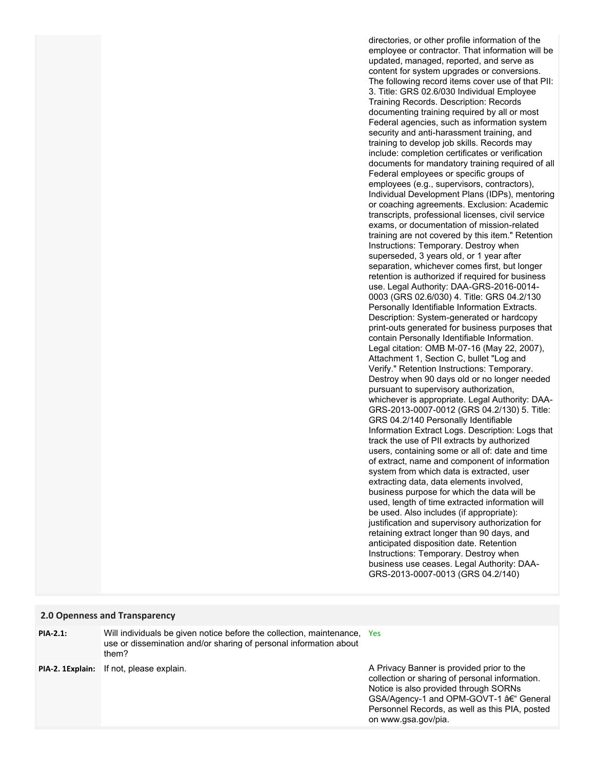directories, or other profile information of the employee or contractor. That information will be updated, managed, reported, and serve as content for system upgrades or conversions. The following record items cover use of that PII: 3. Title: GRS 02.6/030 Individual Employee Training Records. Description: Records documenting training required by all or most Federal agencies, such as information system security and anti-harassment training, and training to develop job skills. Records may include: completion certificates or verification documents for mandatory training required of all Federal employees or specific groups of employees (e.g., supervisors, contractors), Individual Development Plans (IDPs), mentoring or coaching agreements. Exclusion: Academic transcripts, professional licenses, civil service exams, or documentation of mission-related training are not covered by this item." Retention Instructions: Temporary. Destroy when superseded, 3 years old, or 1 year after separation, whichever comes first, but longer retention is authorized if required for business use. Legal Authority: DAA-GRS-2016-0014- 0003 (GRS 02.6/030) 4. Title: GRS 04.2/130 Personally Identifiable Information Extracts. Description: System-generated or hardcopy print-outs generated for business purposes that contain Personally Identifiable Information. Legal citation: OMB M-07-16 (May 22, 2007), Attachment 1, Section C, bullet "Log and Verify." Retention Instructions: Temporary. Destroy when 90 days old or no longer needed pursuant to supervisory authorization, whichever is appropriate. Legal Authority: DAA-GRS-2013-0007-0012 (GRS 04.2/130) 5. Title: GRS 04.2/140 Personally Identifiable Information Extract Logs. Description: Logs that track the use of PII extracts by authorized users, containing some or all of: date and time of extract, name and component of information system from which data is extracted, user extracting data, data elements involved, business purpose for which the data will be used, length of time extracted information will be used. Also includes (if appropriate): justification and supervisory authorization for retaining extract longer than 90 days, and anticipated disposition date. Retention Instructions: Temporary. Destroy when business use ceases. Legal Authority: DAA-GRS-2013-0007-0013 (GRS 04.2/140)

#### **2.0 Openness and Transparency**

**PIA-2.1:**

Will individuals be given notice before the collection, maintenance, Yes use or dissemination and/or sharing of personal information about them?

**PIA-2. 1Explain:** If not, please explain.

A Privacy Banner is provided prior to the collection or sharing of personal information. Notice is also provided through SORNs GSA/Agency-1 and OPM-GOVT-1 – General Personnel Records, as well as this PIA, posted on www.gsa.gov/pia.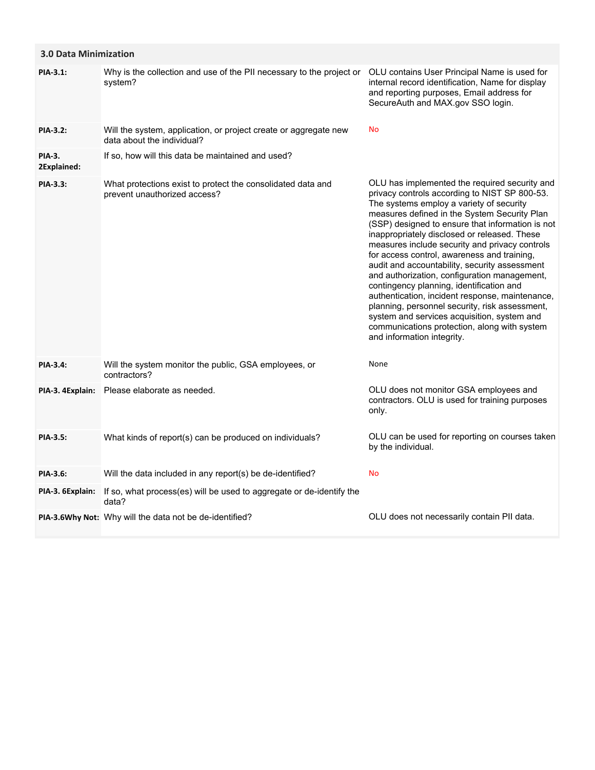| <b>3.0 Data Minimization</b> |                                                                                                |                                                                                                                                                                                                                                                                                                                                                                                                                                                                                                                                                                                                                                                                                                                                                                                |
|------------------------------|------------------------------------------------------------------------------------------------|--------------------------------------------------------------------------------------------------------------------------------------------------------------------------------------------------------------------------------------------------------------------------------------------------------------------------------------------------------------------------------------------------------------------------------------------------------------------------------------------------------------------------------------------------------------------------------------------------------------------------------------------------------------------------------------------------------------------------------------------------------------------------------|
| PIA-3.1:                     | Why is the collection and use of the PII necessary to the project or<br>system?                | OLU contains User Principal Name is used for<br>internal record identification, Name for display<br>and reporting purposes, Email address for<br>SecureAuth and MAX.gov SSO login.                                                                                                                                                                                                                                                                                                                                                                                                                                                                                                                                                                                             |
| <b>PIA-3.2:</b>              | Will the system, application, or project create or aggregate new<br>data about the individual? | No                                                                                                                                                                                                                                                                                                                                                                                                                                                                                                                                                                                                                                                                                                                                                                             |
| <b>PIA-3.</b><br>2Explained: | If so, how will this data be maintained and used?                                              |                                                                                                                                                                                                                                                                                                                                                                                                                                                                                                                                                                                                                                                                                                                                                                                |
| PIA-3.3:                     | What protections exist to protect the consolidated data and<br>prevent unauthorized access?    | OLU has implemented the required security and<br>privacy controls according to NIST SP 800-53.<br>The systems employ a variety of security<br>measures defined in the System Security Plan<br>(SSP) designed to ensure that information is not<br>inappropriately disclosed or released. These<br>measures include security and privacy controls<br>for access control, awareness and training,<br>audit and accountability, security assessment<br>and authorization, configuration management,<br>contingency planning, identification and<br>authentication, incident response, maintenance,<br>planning, personnel security, risk assessment,<br>system and services acquisition, system and<br>communications protection, along with system<br>and information integrity. |
| <b>PIA-3.4:</b>              | Will the system monitor the public, GSA employees, or<br>contractors?                          | None                                                                                                                                                                                                                                                                                                                                                                                                                                                                                                                                                                                                                                                                                                                                                                           |
| PIA-3. 4 Explain:            | Please elaborate as needed.                                                                    | OLU does not monitor GSA employees and<br>contractors. OLU is used for training purposes<br>only.                                                                                                                                                                                                                                                                                                                                                                                                                                                                                                                                                                                                                                                                              |
| PIA-3.5:                     | What kinds of report(s) can be produced on individuals?                                        | OLU can be used for reporting on courses taken<br>by the individual.                                                                                                                                                                                                                                                                                                                                                                                                                                                                                                                                                                                                                                                                                                           |
| <b>PIA-3.6:</b>              | Will the data included in any report(s) be de-identified?                                      | <b>No</b>                                                                                                                                                                                                                                                                                                                                                                                                                                                                                                                                                                                                                                                                                                                                                                      |
| PIA-3. 6Explain:             | If so, what process(es) will be used to aggregate or de-identify the<br>data?                  |                                                                                                                                                                                                                                                                                                                                                                                                                                                                                                                                                                                                                                                                                                                                                                                |
|                              | PIA-3.6Why Not: Why will the data not be de-identified?                                        | OLU does not necessarily contain PII data.                                                                                                                                                                                                                                                                                                                                                                                                                                                                                                                                                                                                                                                                                                                                     |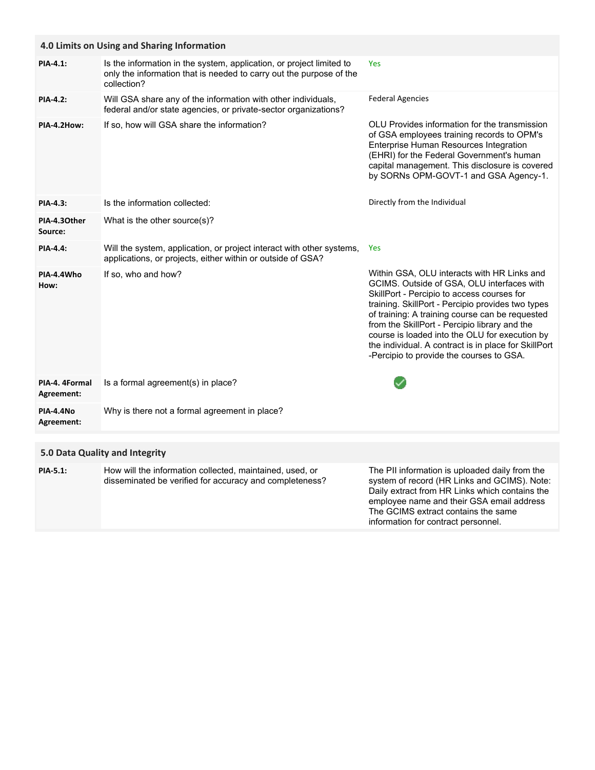| 4.0 Limits on Using and Sharing Information |                                                                                                                                                            |                                                                                                                                                                                                                                                                                                                                                                                                                                                        |  |  |
|---------------------------------------------|------------------------------------------------------------------------------------------------------------------------------------------------------------|--------------------------------------------------------------------------------------------------------------------------------------------------------------------------------------------------------------------------------------------------------------------------------------------------------------------------------------------------------------------------------------------------------------------------------------------------------|--|--|
| PIA-4.1:                                    | Is the information in the system, application, or project limited to<br>only the information that is needed to carry out the purpose of the<br>collection? | Yes                                                                                                                                                                                                                                                                                                                                                                                                                                                    |  |  |
| <b>PIA-4.2:</b>                             | Will GSA share any of the information with other individuals,<br>federal and/or state agencies, or private-sector organizations?                           | <b>Federal Agencies</b>                                                                                                                                                                                                                                                                                                                                                                                                                                |  |  |
| PIA-4.2How:                                 | If so, how will GSA share the information?                                                                                                                 | OLU Provides information for the transmission<br>of GSA employees training records to OPM's<br>Enterprise Human Resources Integration<br>(EHRI) for the Federal Government's human<br>capital management. This disclosure is covered<br>by SORNs OPM-GOVT-1 and GSA Agency-1.                                                                                                                                                                          |  |  |
| PIA-4.3:                                    | Is the information collected:                                                                                                                              | Directly from the Individual                                                                                                                                                                                                                                                                                                                                                                                                                           |  |  |
| PIA-4.30ther<br>Source:                     | What is the other source(s)?                                                                                                                               |                                                                                                                                                                                                                                                                                                                                                                                                                                                        |  |  |
| <b>PIA-4.4:</b>                             | Will the system, application, or project interact with other systems,<br>applications, or projects, either within or outside of GSA?                       | <b>Yes</b>                                                                                                                                                                                                                                                                                                                                                                                                                                             |  |  |
| PIA-4.4Who<br>How:                          | If so, who and how?                                                                                                                                        | Within GSA, OLU interacts with HR Links and<br>GCIMS. Outside of GSA, OLU interfaces with<br>SkillPort - Percipio to access courses for<br>training. SkillPort - Percipio provides two types<br>of training: A training course can be requested<br>from the SkillPort - Percipio library and the<br>course is loaded into the OLU for execution by<br>the individual. A contract is in place for SkillPort<br>-Percipio to provide the courses to GSA. |  |  |
| PIA-4. 4Formal<br>Agreement:                | Is a formal agreement(s) in place?                                                                                                                         |                                                                                                                                                                                                                                                                                                                                                                                                                                                        |  |  |
| PIA-4.4No<br>Agreement:                     | Why is there not a formal agreement in place?                                                                                                              |                                                                                                                                                                                                                                                                                                                                                                                                                                                        |  |  |
|                                             |                                                                                                                                                            |                                                                                                                                                                                                                                                                                                                                                                                                                                                        |  |  |

## **5.0 Data Quality and Integrity**

| <b>PIA-5.1:</b> | How will the information collected, maintained, used, or<br>disseminated be verified for accuracy and completeness? | The PII information is uploaded daily from the<br>system of record (HR Links and GCIMS). Note:<br>Daily extract from HR Links which contains the<br>employee name and their GSA email address<br>The GCIMS extract contains the same |
|-----------------|---------------------------------------------------------------------------------------------------------------------|--------------------------------------------------------------------------------------------------------------------------------------------------------------------------------------------------------------------------------------|
|                 |                                                                                                                     | information for contract personnel.                                                                                                                                                                                                  |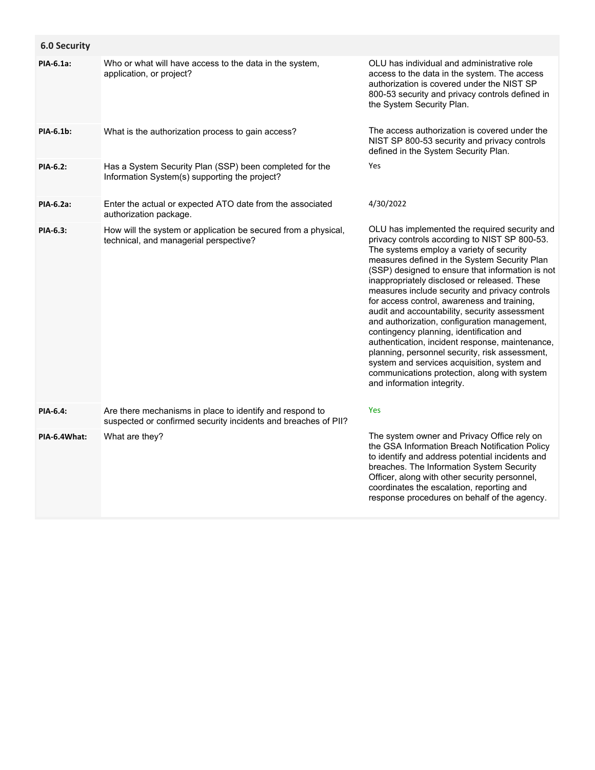| <b>6.0 Security</b> |                                                                                                                            |                                                                                                                                                                                                                                                                                                                                                                                                                                                                                                                                                                                                                                                                                                                                                                                |
|---------------------|----------------------------------------------------------------------------------------------------------------------------|--------------------------------------------------------------------------------------------------------------------------------------------------------------------------------------------------------------------------------------------------------------------------------------------------------------------------------------------------------------------------------------------------------------------------------------------------------------------------------------------------------------------------------------------------------------------------------------------------------------------------------------------------------------------------------------------------------------------------------------------------------------------------------|
| PIA-6.1a:           | Who or what will have access to the data in the system,<br>application, or project?                                        | OLU has individual and administrative role<br>access to the data in the system. The access<br>authorization is covered under the NIST SP<br>800-53 security and privacy controls defined in<br>the System Security Plan.                                                                                                                                                                                                                                                                                                                                                                                                                                                                                                                                                       |
| PIA-6.1b:           | What is the authorization process to gain access?                                                                          | The access authorization is covered under the<br>NIST SP 800-53 security and privacy controls<br>defined in the System Security Plan.                                                                                                                                                                                                                                                                                                                                                                                                                                                                                                                                                                                                                                          |
| <b>PIA-6.2:</b>     | Has a System Security Plan (SSP) been completed for the<br>Information System(s) supporting the project?                   | Yes                                                                                                                                                                                                                                                                                                                                                                                                                                                                                                                                                                                                                                                                                                                                                                            |
| PIA-6.2a:           | Enter the actual or expected ATO date from the associated<br>authorization package.                                        | 4/30/2022                                                                                                                                                                                                                                                                                                                                                                                                                                                                                                                                                                                                                                                                                                                                                                      |
| <b>PIA-6.3:</b>     | How will the system or application be secured from a physical,<br>technical, and managerial perspective?                   | OLU has implemented the required security and<br>privacy controls according to NIST SP 800-53.<br>The systems employ a variety of security<br>measures defined in the System Security Plan<br>(SSP) designed to ensure that information is not<br>inappropriately disclosed or released. These<br>measures include security and privacy controls<br>for access control, awareness and training,<br>audit and accountability, security assessment<br>and authorization, configuration management,<br>contingency planning, identification and<br>authentication, incident response, maintenance,<br>planning, personnel security, risk assessment,<br>system and services acquisition, system and<br>communications protection, along with system<br>and information integrity. |
| PIA-6.4:            | Are there mechanisms in place to identify and respond to<br>suspected or confirmed security incidents and breaches of PII? | Yes                                                                                                                                                                                                                                                                                                                                                                                                                                                                                                                                                                                                                                                                                                                                                                            |
| PIA-6.4What:        | What are they?                                                                                                             | The system owner and Privacy Office rely on<br>the GSA Information Breach Notification Policy<br>to identify and address potential incidents and<br>breaches. The Information System Security<br>Officer, along with other security personnel,<br>coordinates the escalation, reporting and<br>response procedures on behalf of the agency.                                                                                                                                                                                                                                                                                                                                                                                                                                    |